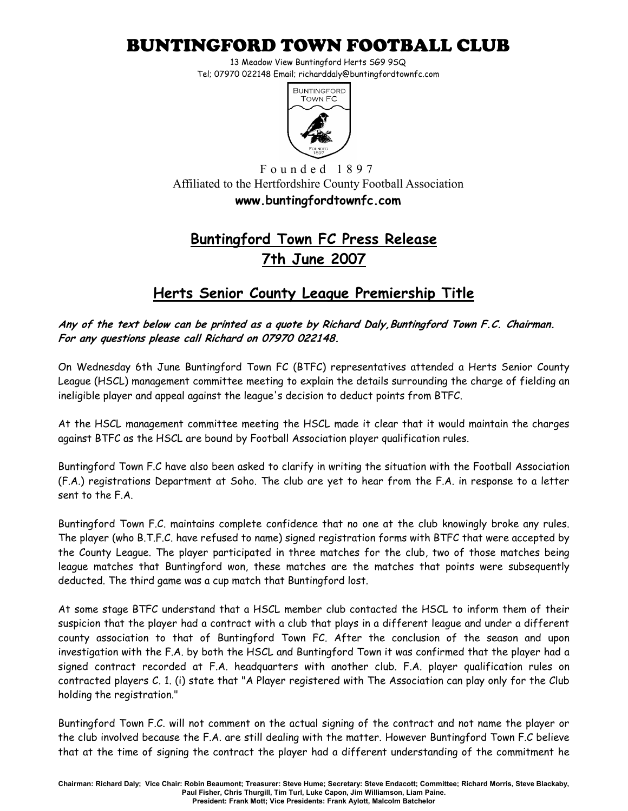## BUNTINGFORD TOWN FOOTBALL CLUB

13 Meadow View Buntingford Herts SG9 9SQ Tel; 07970 022148 Email; richarddaly@buntingfordtownfc.com



F o u n d e d 1 8 9 7 Affiliated to the Hertfordshire County Football Association www.buntingfordtownfc.com

## Buntingford Town FC Press Release 7th June 2007

## Herts Senior County League Premiership Title

Any of the text below can be printed as a quote by Richard Daly,Buntingford Town F.C. Chairman. For any questions please call Richard on 07970 022148.

On Wednesday 6th June Buntingford Town FC (BTFC) representatives attended a Herts Senior County League (HSCL) management committee meeting to explain the details surrounding the charge of fielding an ineligible player and appeal against the league's decision to deduct points from BTFC.

At the HSCL management committee meeting the HSCL made it clear that it would maintain the charges against BTFC as the HSCL are bound by Football Association player qualification rules.

Buntingford Town F.C have also been asked to clarify in writing the situation with the Football Association (F.A.) registrations Department at Soho. The club are yet to hear from the F.A. in response to a letter sent to the F.A.

Buntingford Town F.C. maintains complete confidence that no one at the club knowingly broke any rules. The player (who B.T.F.C. have refused to name) signed registration forms with BTFC that were accepted by the County League. The player participated in three matches for the club, two of those matches being league matches that Buntingford won, these matches are the matches that points were subsequently deducted. The third game was a cup match that Buntingford lost.

At some stage BTFC understand that a HSCL member club contacted the HSCL to inform them of their suspicion that the player had a contract with a club that plays in a different league and under a different county association to that of Buntingford Town FC. After the conclusion of the season and upon investigation with the F.A. by both the HSCL and Buntingford Town it was confirmed that the player had a signed contract recorded at F.A. headquarters with another club. F.A. player qualification rules on contracted players C. 1. (i) state that "A Player registered with The Association can play only for the Club holding the registration."

Buntingford Town F.C. will not comment on the actual signing of the contract and not name the player or the club involved because the F.A. are still dealing with the matter. However Buntingford Town F.C believe that at the time of signing the contract the player had a different understanding of the commitment he